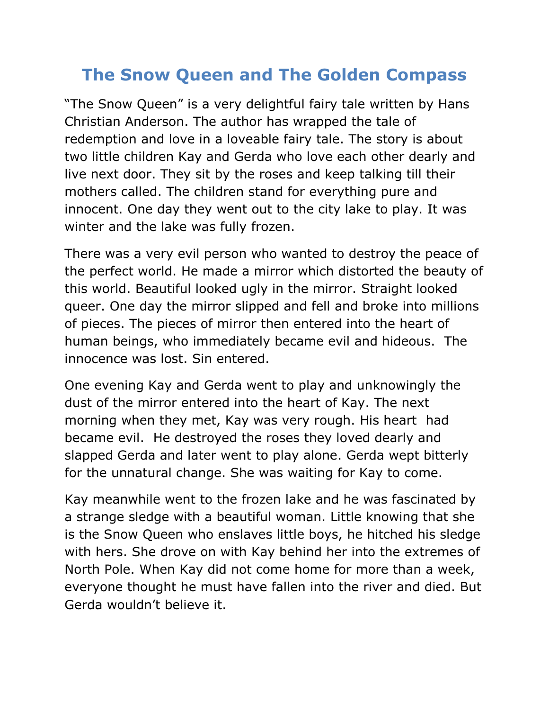## **The Snow Queen and The Golden Compass**

"The Snow Queen" is a very delightful fairy tale written by Hans Christian Anderson. The author has wrapped the tale of redemption and love in a loveable fairy tale. The story is about two little children Kay and Gerda who love each other dearly and live next door. They sit by the roses and keep talking till their mothers called. The children stand for everything pure and innocent. One day they went out to the city lake to play. It was winter and the lake was fully frozen.

There was a very evil person who wanted to destroy the peace of the perfect world. He made a mirror which distorted the beauty of this world. Beautiful looked ugly in the mirror. Straight looked queer. One day the mirror slipped and fell and broke into millions of pieces. The pieces of mirror then entered into the heart of human beings, who immediately became evil and hideous. The innocence was lost. Sin entered.

One evening Kay and Gerda went to play and unknowingly the dust of the mirror entered into the heart of Kay. The next morning when they met, Kay was very rough. His heart had became evil. He destroyed the roses they loved dearly and slapped Gerda and later went to play alone. Gerda wept bitterly for the unnatural change. She was waiting for Kay to come.

Kay meanwhile went to the frozen lake and he was fascinated by a strange sledge with a beautiful woman. Little knowing that she is the Snow Queen who enslaves little boys, he hitched his sledge with hers. She drove on with Kay behind her into the extremes of North Pole. When Kay did not come home for more than a week, everyone thought he must have fallen into the river and died. But Gerda wouldn't believe it.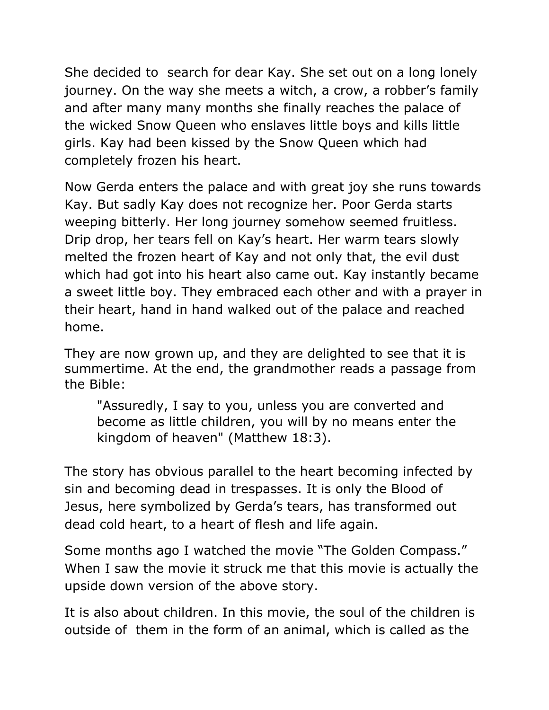She decided to search for dear Kay. She set out on a long lonely journey. On the way she meets a witch, a crow, a robber's family and after many many months she finally reaches the palace of the wicked Snow Queen who enslaves little boys and kills little girls. Kay had been kissed by the Snow Queen which had completely frozen his heart.

Now Gerda enters the palace and with great joy she runs towards Kay. But sadly Kay does not recognize her. Poor Gerda starts weeping bitterly. Her long journey somehow seemed fruitless. Drip drop, her tears fell on Kay's heart. Her warm tears slowly melted the frozen heart of Kay and not only that, the evil dust which had got into his heart also came out. Kay instantly became a sweet little boy. They embraced each other and with a prayer in their heart, hand in hand walked out of the palace and reached home.

They are now grown up, and they are delighted to see that it is summertime. At the end, the grandmother reads a passage from the Bible:

"Assuredly, I say to you, unless you are converted and become as little children, you will by no means enter the kingdom of heaven" (Matthew 18:3).

The story has obvious parallel to the heart becoming infected by sin and becoming dead in trespasses. It is only the Blood of Jesus, here symbolized by Gerda's tears, has transformed out dead cold heart, to a heart of flesh and life again.

Some months ago I watched the movie "The Golden Compass." When I saw the movie it struck me that this movie is actually the upside down version of the above story.

It is also about children. In this movie, the soul of the children is outside of them in the form of an animal, which is called as the